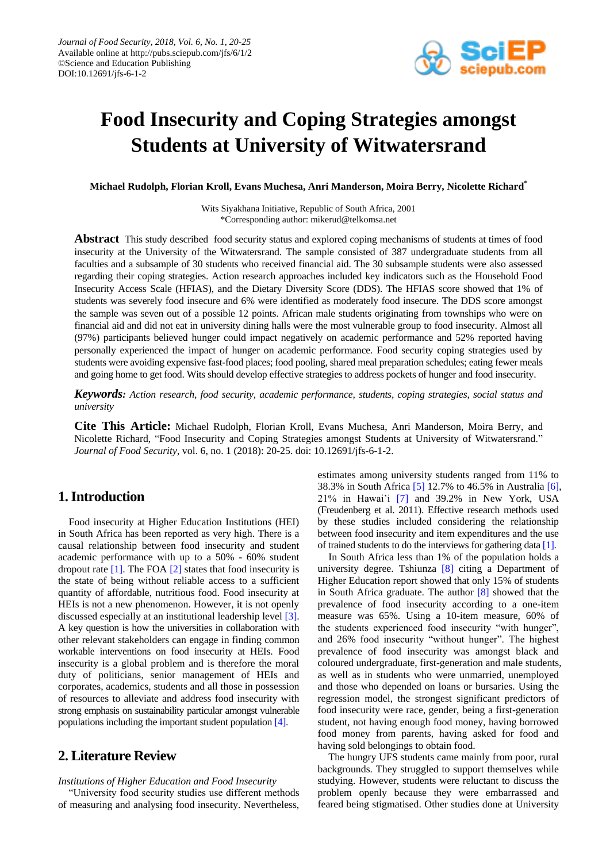

# **Food Insecurity and Coping Strategies amongst Students at University of Witwatersrand**

**Michael Rudolph, Florian Kroll, Evans Muchesa, Anri Manderson, Moira Berry, Nicolette Richard\***

Wits Siyakhana Initiative, Republic of South Africa, 2001 \*Corresponding author: mikerud@telkomsa.net

**Abstract** This study described food security status and explored coping mechanisms of students at times of food insecurity at the University of the Witwatersrand. The sample consisted of 387 undergraduate students from all faculties and a subsample of 30 students who received financial aid. The 30 subsample students were also assessed regarding their coping strategies. Action research approaches included key indicators such as the Household Food Insecurity Access Scale (HFIAS), and the Dietary Diversity Score (DDS). The HFIAS score showed that 1% of students was severely food insecure and 6% were identified as moderately food insecure. The DDS score amongst the sample was seven out of a possible 12 points. African male students originating from townships who were on financial aid and did not eat in university dining halls were the most vulnerable group to food insecurity. Almost all (97%) participants believed hunger could impact negatively on academic performance and 52% reported having personally experienced the impact of hunger on academic performance. Food security coping strategies used by students were avoiding expensive fast-food places; food pooling, shared meal preparation schedules; eating fewer meals and going home to get food. Wits should develop effective strategies to address pockets of hunger and food insecurity.

*Keywords: Action research, food security, academic performance, students, coping strategies, social status and university*

**Cite This Article:** Michael Rudolph, Florian Kroll, Evans Muchesa, Anri Manderson, Moira Berry, and Nicolette Richard, "Food Insecurity and Coping Strategies amongst Students at University of Witwatersrand." *Journal of Food Security*, vol. 6, no. 1 (2018): 20-25. doi: 10.12691/jfs-6-1-2.

# **1. Introduction**

Food insecurity at Higher Education Institutions (HEI) in South Africa has been reported as very high. There is a causal relationship between food insecurity and student academic performance with up to a 50% - 60% student dropout rate  $[1]$ . The FOA  $[2]$  states that food insecurity is the state of being without reliable access to a sufficient quantity of affordable, nutritious food. Food insecurity at HEIs is not a new phenomenon. However, it is not openly discussed especially at an institutional leadership level [\[3\].](#page-5-2) A key question is how the universities in collaboration with other relevant stakeholders can engage in finding common workable interventions on food insecurity at HEIs. Food insecurity is a global problem and is therefore the moral duty of politicians, senior management of HEIs and corporates, academics, students and all those in possession of resources to alleviate and address food insecurity with strong emphasis on sustainability particular amongst vulnerable populations including the important student population [\[4\].](#page-5-3)

# **2. Literature Review**

*Institutions of Higher Education and Food Insecurity*

"University food security studies use different methods of measuring and analysing food insecurity. Nevertheless, estimates among university students ranged from 11% to 38.3% in South Africa [\[5\]](#page-5-4) 12.7% to 46.5% in Australia [\[6\],](#page-5-5) 21% in Hawai'i [\[7\]](#page-5-6) and 39.2% in New York, USA (Freudenberg et al. 2011). Effective research methods used by these studies included considering the relationship between food insecurity and item expenditures and the use of trained students to do the interviews for gathering data [\[1\].](#page-5-0)

In South Africa less than 1% of the population holds a university degree. Tshiunza [\[8\]](#page-5-7) citing a Department of Higher Education report showed that only 15% of students in South Africa graduate. The author [\[8\]](#page-5-7) showed that the prevalence of food insecurity according to a one-item measure was 65%. Using a 10-item measure, 60% of the students experienced food insecurity "with hunger", and 26% food insecurity "without hunger". The highest prevalence of food insecurity was amongst black and coloured undergraduate, first-generation and male students, as well as in students who were unmarried, unemployed and those who depended on loans or bursaries. Using the regression model, the strongest significant predictors of food insecurity were race, gender, being a first-generation student, not having enough food money, having borrowed food money from parents, having asked for food and having sold belongings to obtain food.

The hungry UFS students came mainly from poor, rural backgrounds. They struggled to support themselves while studying. However, students were reluctant to discuss the problem openly because they were embarrassed and feared being stigmatised. Other studies done at University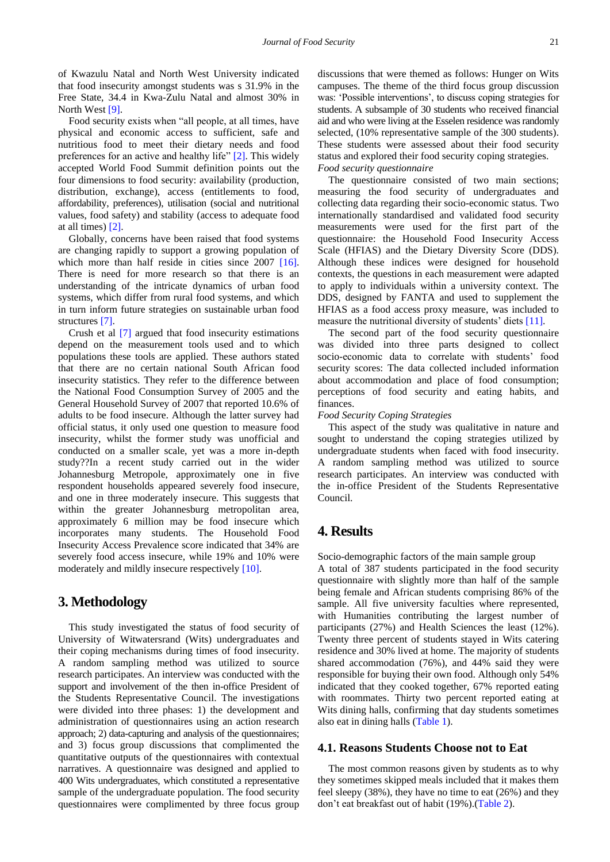of Kwazulu Natal and North West University indicated that food insecurity amongst students was s 31.9% in the Free State, 34.4 in Kwa-Zulu Natal and almost 30% in North Wes[t \[9\].](#page-5-8)

Food security exists when "all people, at all times, have physical and economic access to sufficient, safe and nutritious food to meet their dietary needs and food preferences for an active and healthy life" [\[2\].](#page-5-1) This widely accepted World Food Summit definition points out the four dimensions to food security: availability (production, distribution, exchange), access (entitlements to food, affordability, preferences), utilisation (social and nutritional values, food safety) and stability (access to adequate food at all times) [\[2\].](#page-5-1)

Globally, concerns have been raised that food systems are changing rapidly to support a growing population of which more than half reside in cities since 2007 [\[16\].](#page-5-9) There is need for more research so that there is an understanding of the intricate dynamics of urban food systems, which differ from rural food systems, and which in turn inform future strategies on sustainable urban food structures [\[7\].](#page-5-6)

Crush et al [\[7\]](#page-5-6) argued that food insecurity estimations depend on the measurement tools used and to which populations these tools are applied. These authors stated that there are no certain national South African food insecurity statistics. They refer to the difference between the National Food Consumption Survey of 2005 and the General Household Survey of 2007 that reported 10.6% of adults to be food insecure. Although the latter survey had official status, it only used one question to measure food insecurity, whilst the former study was unofficial and conducted on a smaller scale, yet was a more in-depth study??In a recent study carried out in the wider Johannesburg Metropole, approximately one in five respondent households appeared severely food insecure, and one in three moderately insecure. This suggests that within the greater Johannesburg metropolitan area, approximately 6 million may be food insecure which incorporates many students. The Household Food Insecurity Access Prevalence score indicated that 34% are severely food access insecure, while 19% and 10% were moderately and mildly insecure respectively [\[10\].](#page-5-10)

# **3. Methodology**

This study investigated the status of food security of University of Witwatersrand (Wits) undergraduates and their coping mechanisms during times of food insecurity. A random sampling method was utilized to source research participates. An interview was conducted with the support and involvement of the then in-office President of the Students Representative Council. The investigations were divided into three phases: 1) the development and administration of questionnaires using an action research approach; 2) data-capturing and analysis of the questionnaires; and 3) focus group discussions that complimented the quantitative outputs of the questionnaires with contextual narratives. A questionnaire was designed and applied to 400 Wits undergraduates, which constituted a representative sample of the undergraduate population. The food security questionnaires were complimented by three focus group

discussions that were themed as follows: Hunger on Wits campuses. The theme of the third focus group discussion was: 'Possible interventions', to discuss coping strategies for students. A subsample of 30 students who received financial aid and who were living at the Esselen residence was randomly selected, (10% representative sample of the 300 students). These students were assessed about their food security status and explored their food security coping strategies. *Food security questionnaire*

The questionnaire consisted of two main sections; measuring the food security of undergraduates and collecting data regarding their socio-economic status. Two internationally standardised and validated food security measurements were used for the first part of the questionnaire: the Household Food Insecurity Access Scale (HFIAS) and the Dietary Diversity Score (DDS). Although these indices were designed for household contexts, the questions in each measurement were adapted to apply to individuals within a university context. The DDS, designed by FANTA and used to supplement the HFIAS as a food access proxy measure, was included to measure the nutritional diversity of students' diets [\[11\].](#page-5-11)

The second part of the food security questionnaire was divided into three parts designed to collect socio-economic data to correlate with students' food security scores: The data collected included information about accommodation and place of food consumption; perceptions of food security and eating habits, and finances.

#### *Food Security Coping Strategies*

This aspect of the study was qualitative in nature and sought to understand the coping strategies utilized by undergraduate students when faced with food insecurity. A random sampling method was utilized to source research participates. An interview was conducted with the in-office President of the Students Representative Council.

# **4. Results**

Socio-demographic factors of the main sample group A total of 387 students participated in the food security questionnaire with slightly more than half of the sample being female and African students comprising 86% of the sample. All five university faculties where represented, with Humanities contributing the largest number of participants (27%) and Health Sciences the least (12%). Twenty three percent of students stayed in Wits catering residence and 30% lived at home. The majority of students shared accommodation (76%), and 44% said they were responsible for buying their own food. Although only 54% indicated that they cooked together, 67% reported eating with roommates. Thirty two percent reported eating at Wits dining halls, confirming that day students sometimes also eat in dining halls [\(Table 1\)](#page-2-0).

#### **4.1. Reasons Students Choose not to Eat**

The most common reasons given by students as to why they sometimes skipped meals included that it makes them feel sleepy (38%), they have no time to eat (26%) and they don't eat breakfast out of habit (19%).[\(Table 2\)](#page-2-1).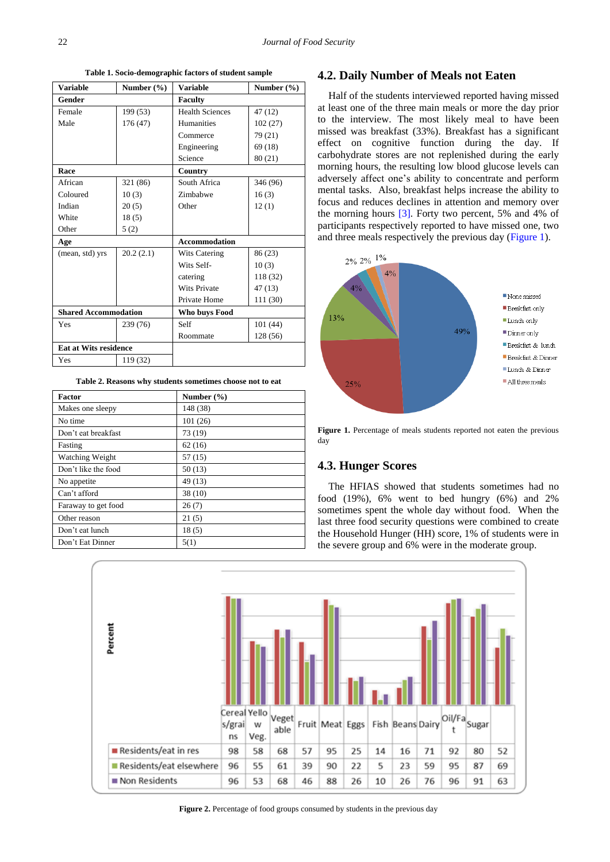**Table 1. Socio-demographic factors of student sample**

<span id="page-2-0"></span>

| <b>Variable</b>              | Number $(\% )$ | <b>Variable</b>        | Number $(\% )$ |
|------------------------------|----------------|------------------------|----------------|
| Gender                       |                | <b>Faculty</b>         |                |
| Female                       | 199 (53)       | <b>Health Sciences</b> | 47 (12)        |
| Male                         | 176 (47)       | <b>Humanities</b>      | 102(27)        |
|                              |                | Commerce               | 79(21)         |
|                              |                | Engineering            | 69 (18)        |
|                              |                | Science                | 80 (21)        |
| Race                         |                | Country                |                |
| African                      | 321 (86)       | South Africa           | 346 (96)       |
| Coloured                     | 10(3)          | Zimbabwe               | 16(3)          |
| Indian                       | 20(5)          | Other                  | 12(1)          |
| White                        | 18(5)          |                        |                |
| Other                        | 5(2)           |                        |                |
| Age                          |                | <b>Accommodation</b>   |                |
| (mean, std) yrs              | 20.2(2.1)      | <b>Wits Catering</b>   | 86 (23)        |
|                              |                | Wits Self-             | 10(3)          |
|                              |                | catering               | 118 (32)       |
|                              |                | <b>Wits Private</b>    | 47(13)         |
|                              |                | Private Home           | 111 (30)       |
| <b>Shared Accommodation</b>  |                | Who buys Food          |                |
| Yes                          | 239 (76)       | Self                   | 101(44)        |
|                              |                | Roommate               | 128 (56)       |
| <b>Eat at Wits residence</b> |                |                        |                |
| Yes                          | 119 (32)       |                        |                |

**Table 2. Reasons why students sometimes choose not to eat**

<span id="page-2-1"></span>

| <b>Factor</b>       | Number (%) |
|---------------------|------------|
| Makes one sleepy    | 148 (38)   |
| No time             | 101(26)    |
| Don't eat breakfast | 73 (19)    |
| Fasting             | 62(16)     |
| Watching Weight     | 57(15)     |
| Don't like the food | 50(13)     |
| No appetite         | 49 (13)    |
| Can't afford        | 38(10)     |
| Faraway to get food | 26(7)      |
| Other reason        | 21(5)      |
| Don't eat lunch     | 18(5)      |
| Don't Eat Dinner    | 5(1)       |

#### **4.2. Daily Number of Meals not Eaten**

Half of the students interviewed reported having missed at least one of the three main meals or more the day prior to the interview. The most likely meal to have been missed was breakfast (33%). Breakfast has a significant effect on cognitive function during the day. If carbohydrate stores are not replenished during the early morning hours, the resulting low blood glucose levels can adversely affect one's ability to concentrate and perform mental tasks. Also, breakfast helps increase the ability to focus and reduces declines in attention and memory over the morning hours [\[3\].](#page-5-2) Forty two percent, 5% and 4% of participants respectively reported to have missed one, two and three meals respectively the previous day [\(Figure 1\)](#page-2-2).

<span id="page-2-2"></span>

**Figure 1.** Percentage of meals students reported not eaten the previous day

#### **4.3. Hunger Scores**

The HFIAS showed that students sometimes had no food (19%), 6% went to bed hungry (6%) and 2% sometimes spent the whole day without food. When the last three food security questions were combined to create the Household Hunger (HH) score, 1% of students were in the severe group and 6% were in the moderate group.

<span id="page-2-3"></span>

**Figure 2.** Percentage of food groups consumed by students in the previous day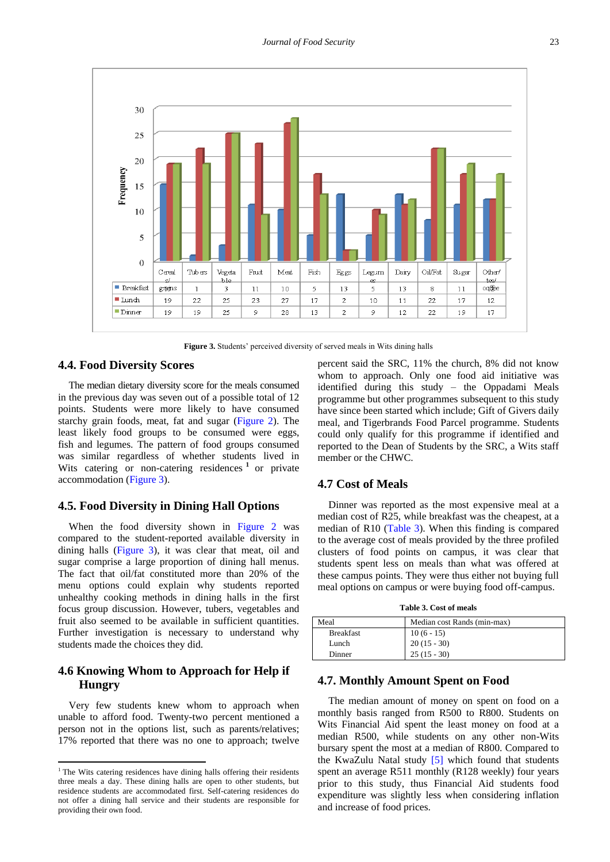<span id="page-3-0"></span>

**Figure 3.** Students' perceived diversity of served meals in Wits dining halls

#### **4.4. Food Diversity Scores**

The median dietary diversity score for the meals consumed in the previous day was seven out of a possible total of 12 points. Students were more likely to have consumed starchy grain foods, meat, fat and sugar [\(Figure 2\)](#page-2-3). The least likely food groups to be consumed were eggs, fish and legumes. The pattern of food groups consumed was similar regardless of whether students lived in Wits catering or non-catering residences<sup>1</sup> or private accommodation [\(Figure 3\)](#page-3-0).

#### **4.5. Food Diversity in Dining Hall Options**

When the food diversity shown in [Figure 2](#page-2-3) was compared to the student-reported available diversity in dining halls [\(Figure 3\)](#page-3-0), it was clear that meat, oil and sugar comprise a large proportion of dining hall menus. The fact that oil/fat constituted more than 20% of the menu options could explain why students reported unhealthy cooking methods in dining halls in the first focus group discussion. However, tubers, vegetables and fruit also seemed to be available in sufficient quantities. Further investigation is necessary to understand why students made the choices they did.

### **4.6 Knowing Whom to Approach for Help if Hungry**

Very few students knew whom to approach when unable to afford food. Twenty-two percent mentioned a person not in the options list, such as parents/relatives; 17% reported that there was no one to approach; twelve

 $\overline{\phantom{a}}$ 

percent said the SRC, 11% the church, 8% did not know whom to approach. Only one food aid initiative was identified during this study – the Oppadami Meals programme but other programmes subsequent to this study have since been started which include; Gift of Givers daily meal, and Tigerbrands Food Parcel programme. Students could only qualify for this programme if identified and reported to the Dean of Students by the SRC, a Wits staff member or the CHWC.

#### **4.7 Cost of Meals**

Dinner was reported as the most expensive meal at a median cost of R25, while breakfast was the cheapest, at a median of R10 [\(Table 3\)](#page-3-1). When this finding is compared to the average cost of meals provided by the three profiled clusters of food points on campus, it was clear that students spent less on meals than what was offered at these campus points. They were thus either not buying full meal options on campus or were buying food off-campus.

| Table 3. Cost of meals |
|------------------------|
|------------------------|

<span id="page-3-1"></span>

| Meal             | Median cost Rands (min-max) |
|------------------|-----------------------------|
| <b>Breakfast</b> | $10(6-15)$                  |
| Lunch            | $20(15-30)$                 |
| Dinner           | $25(15-30)$                 |

#### **4.7. Monthly Amount Spent on Food**

The median amount of money on spent on food on a monthly basis ranged from R500 to R800. Students on Wits Financial Aid spent the least money on food at a median R500, while students on any other non-Wits bursary spent the most at a median of R800. Compared to the KwaZulu Natal study [\[5\]](#page-5-4) which found that students spent an average R511 monthly (R128 weekly) four years prior to this study, thus Financial Aid students food expenditure was slightly less when considering inflation and increase of food prices.

<sup>&</sup>lt;sup>1</sup> The Wits catering residences have dining halls offering their residents three meals a day. These dining halls are open to other students, but residence students are accommodated first. Self-catering residences do not offer a dining hall service and their students are responsible for providing their own food.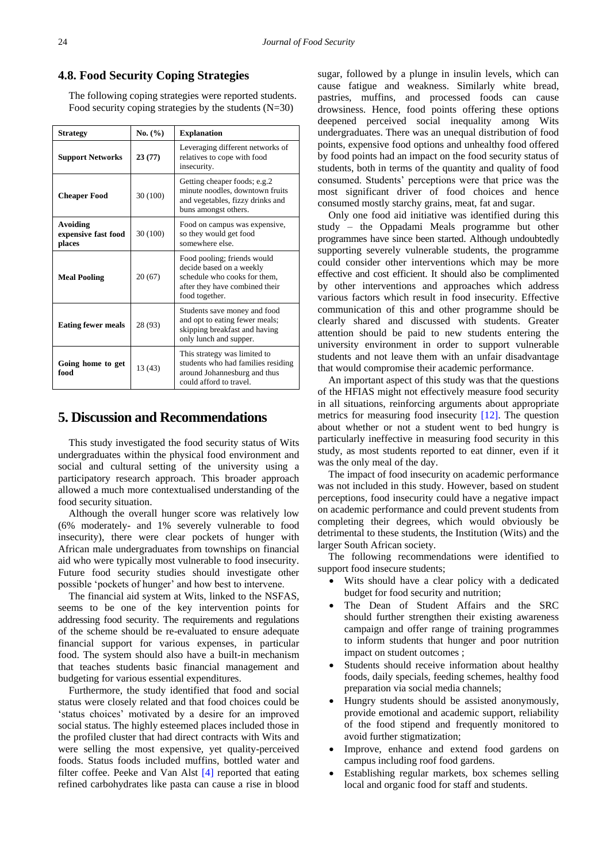#### **4.8. Food Security Coping Strategies**

The following coping strategies were reported students. Food security coping strategies by the students  $(N=30)$ 

| <b>Strategy</b>                           | No. (%)  | <b>Explanation</b>                                                                                                                          |  |
|-------------------------------------------|----------|---------------------------------------------------------------------------------------------------------------------------------------------|--|
| <b>Support Networks</b>                   | 23(77)   | Leveraging different networks of<br>relatives to cope with food<br>insecurity.                                                              |  |
| 30 (100)<br><b>Cheaper Food</b>           |          | Getting cheaper foods; e.g.2<br>minute noodles, downtown fruits<br>and vegetables, fizzy drinks and<br>buns amongst others.                 |  |
| Avoiding<br>expensive fast food<br>places | 30 (100) | Food on campus was expensive,<br>so they would get food<br>somewhere else.                                                                  |  |
| <b>Meal Pooling</b><br>20(67)             |          | Food pooling; friends would<br>decide based on a weekly<br>schedule who cooks for them.<br>after they have combined their<br>food together. |  |
| <b>Eating fewer meals</b>                 | 28 (93)  | Students save money and food<br>and opt to eating fewer meals;<br>skipping breakfast and having<br>only lunch and supper.                   |  |
| Going home to get<br>13 (43)<br>food      |          | This strategy was limited to<br>students who had families residing<br>around Johannesburg and thus<br>could afford to travel.               |  |

## **5. Discussion and Recommendations**

This study investigated the food security status of Wits undergraduates within the physical food environment and social and cultural setting of the university using a participatory research approach. This broader approach allowed a much more contextualised understanding of the food security situation.

Although the overall hunger score was relatively low (6% moderately- and 1% severely vulnerable to food insecurity), there were clear pockets of hunger with African male undergraduates from townships on financial aid who were typically most vulnerable to food insecurity. Future food security studies should investigate other possible 'pockets of hunger' and how best to intervene.

The financial aid system at Wits, linked to the NSFAS, seems to be one of the key intervention points for addressing food security. The requirements and regulations of the scheme should be re-evaluated to ensure adequate financial support for various expenses, in particular food. The system should also have a built-in mechanism that teaches students basic financial management and budgeting for various essential expenditures.

Furthermore, the study identified that food and social status were closely related and that food choices could be 'status choices' motivated by a desire for an improved social status. The highly esteemed places included those in the profiled cluster that had direct contracts with Wits and were selling the most expensive, yet quality-perceived foods. Status foods included muffins, bottled water and filter coffee. Peeke and Van Alst [\[4\]](#page-5-3) reported that eating refined carbohydrates like pasta can cause a rise in blood sugar, followed by a plunge in insulin levels, which can cause fatigue and weakness. Similarly white bread, pastries, muffins, and processed foods can cause drowsiness. Hence, food points offering these options deepened perceived social inequality among Wits undergraduates. There was an unequal distribution of food points, expensive food options and unhealthy food offered by food points had an impact on the food security status of students, both in terms of the quantity and quality of food consumed. Students' perceptions were that price was the most significant driver of food choices and hence consumed mostly starchy grains, meat, fat and sugar.

Only one food aid initiative was identified during this study – the Oppadami Meals programme but other programmes have since been started. Although undoubtedly supporting severely vulnerable students, the programme could consider other interventions which may be more effective and cost efficient. It should also be complimented by other interventions and approaches which address various factors which result in food insecurity. Effective communication of this and other programme should be clearly shared and discussed with students. Greater attention should be paid to new students entering the university environment in order to support vulnerable students and not leave them with an unfair disadvantage that would compromise their academic performance.

An important aspect of this study was that the questions of the HFIAS might not effectively measure food security in all situations, reinforcing arguments about appropriate metrics for measuring food insecurity [\[12\].](#page-5-12) The question about whether or not a student went to bed hungry is particularly ineffective in measuring food security in this study, as most students reported to eat dinner, even if it was the only meal of the day.

The impact of food insecurity on academic performance was not included in this study. However, based on student perceptions, food insecurity could have a negative impact on academic performance and could prevent students from completing their degrees, which would obviously be detrimental to these students, the Institution (Wits) and the larger South African society.

The following recommendations were identified to support food insecure students;

- Wits should have a clear policy with a dedicated budget for food security and nutrition;
- The Dean of Student Affairs and the SRC should further strengthen their existing awareness campaign and offer range of training programmes to inform students that hunger and poor nutrition impact on student outcomes ;
- Students should receive information about healthy foods, daily specials, feeding schemes, healthy food preparation via social media channels;
- Hungry students should be assisted anonymously, provide emotional and academic support, reliability of the food stipend and frequently monitored to avoid further stigmatization;
- Improve, enhance and extend food gardens on campus including roof food gardens.
- Establishing regular markets, box schemes selling local and organic food for staff and students.